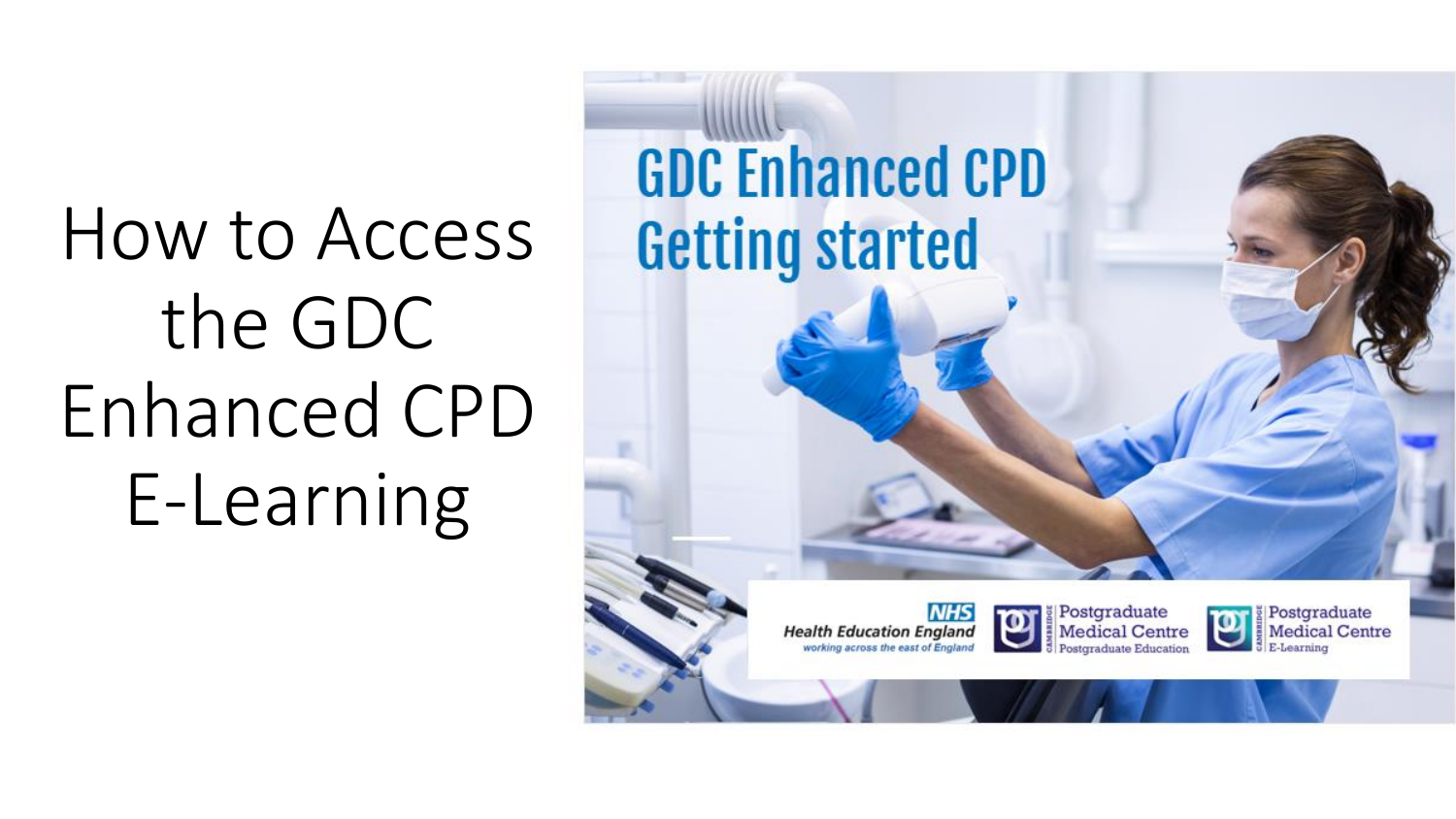How to Access the GDC Enhanced CPD E-Learning

**GDC Enhanced CPD Getting started** 





Postgraduate **Medical Centre** E-Learning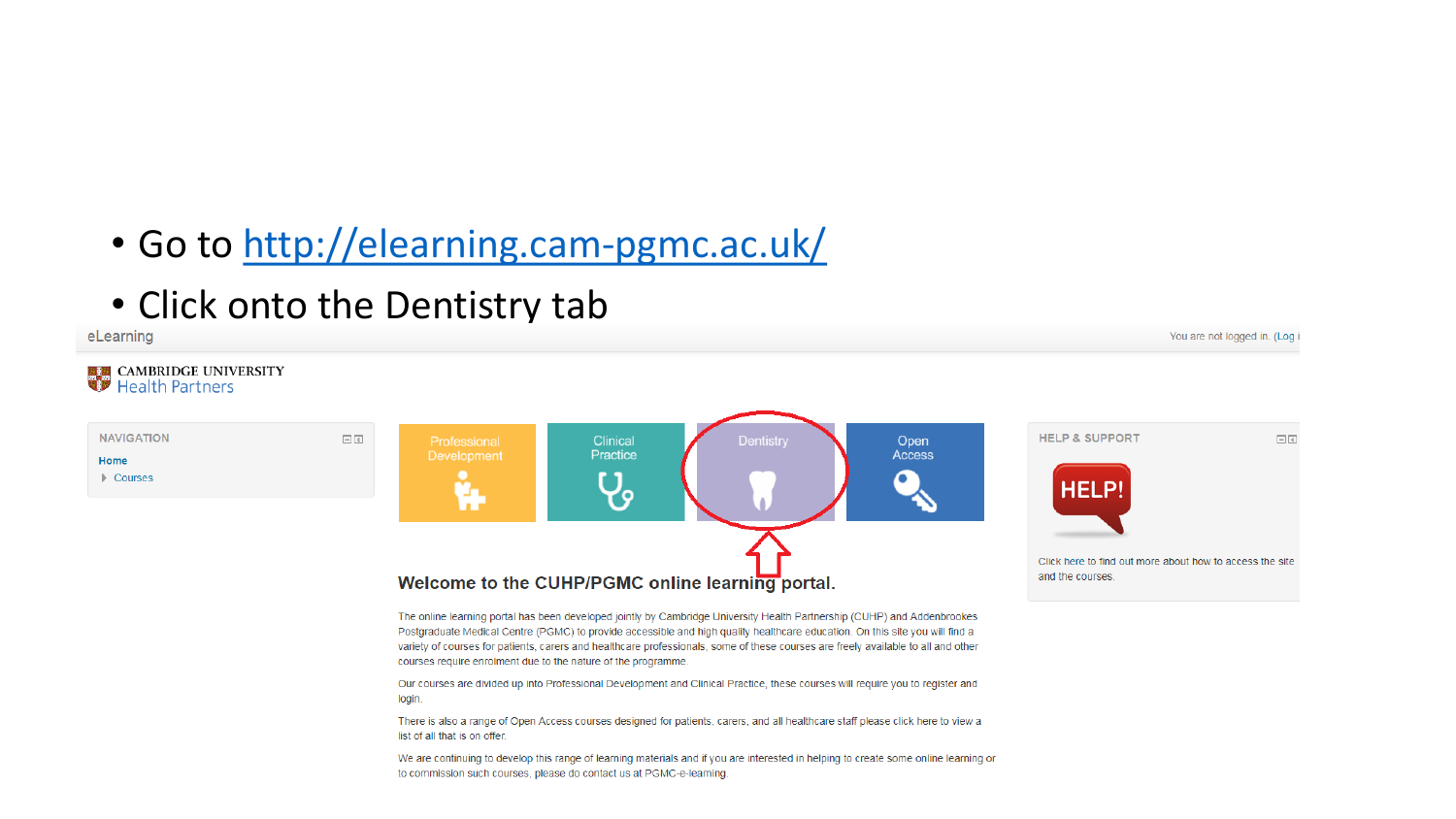- Go to<http://elearning.cam-pgmc.ac.uk/>
- Click onto the Dentistry tab

eLearning



You are not logged in. (Log i

There is also a range of Open Access courses designed for patients, carers, and all healthcare staff please click here to view a list of all that is on offer.

We are continuing to develop this range of learning materials and if you are interested in helping to create some online learning or to commission such courses, please do contact us at PGMC-e-learning.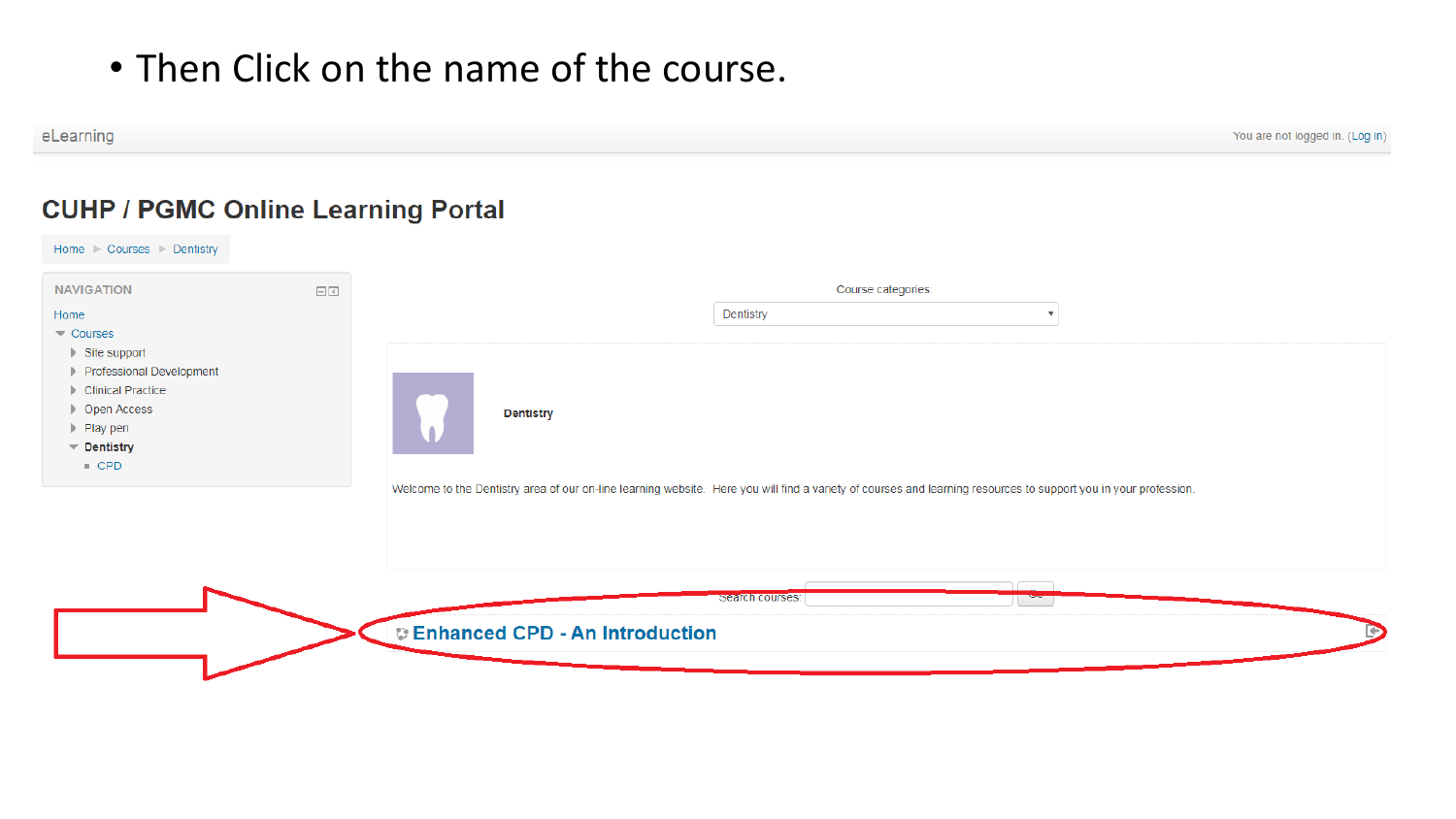### • Then Click on the name of the course.

You are not logged in. (Log in)

### **CUHP / PGMC Online Learning Portal**

eLearning

| <b>NAVIGATION</b>                                                                                                                                                                                                                      | $\boxed{\leq}$ | Course categories:                                                                                                                                                                                                                                      |  |
|----------------------------------------------------------------------------------------------------------------------------------------------------------------------------------------------------------------------------------------|----------------|---------------------------------------------------------------------------------------------------------------------------------------------------------------------------------------------------------------------------------------------------------|--|
| Home<br>$\blacktriangledown$ Courses<br>$\blacktriangleright$ Site support<br>Professional Development<br>Clinical Practice<br>▶ Open Access<br>$\blacktriangleright$ Play pen<br>$\blacktriangledown$ Dentistry<br>$\blacksquare$ CPD |                | Dentistry<br><b>Dentistry</b><br>۸                                                                                                                                                                                                                      |  |
|                                                                                                                                                                                                                                        |                | Welcome to the Dentistry area of our on-line learning website. Here you will find a variety of courses and learning resources to support you in your profession.<br><b>Russian</b><br>search courses:<br>T aa<br><b>CEnhanced CPD - An Introduction</b> |  |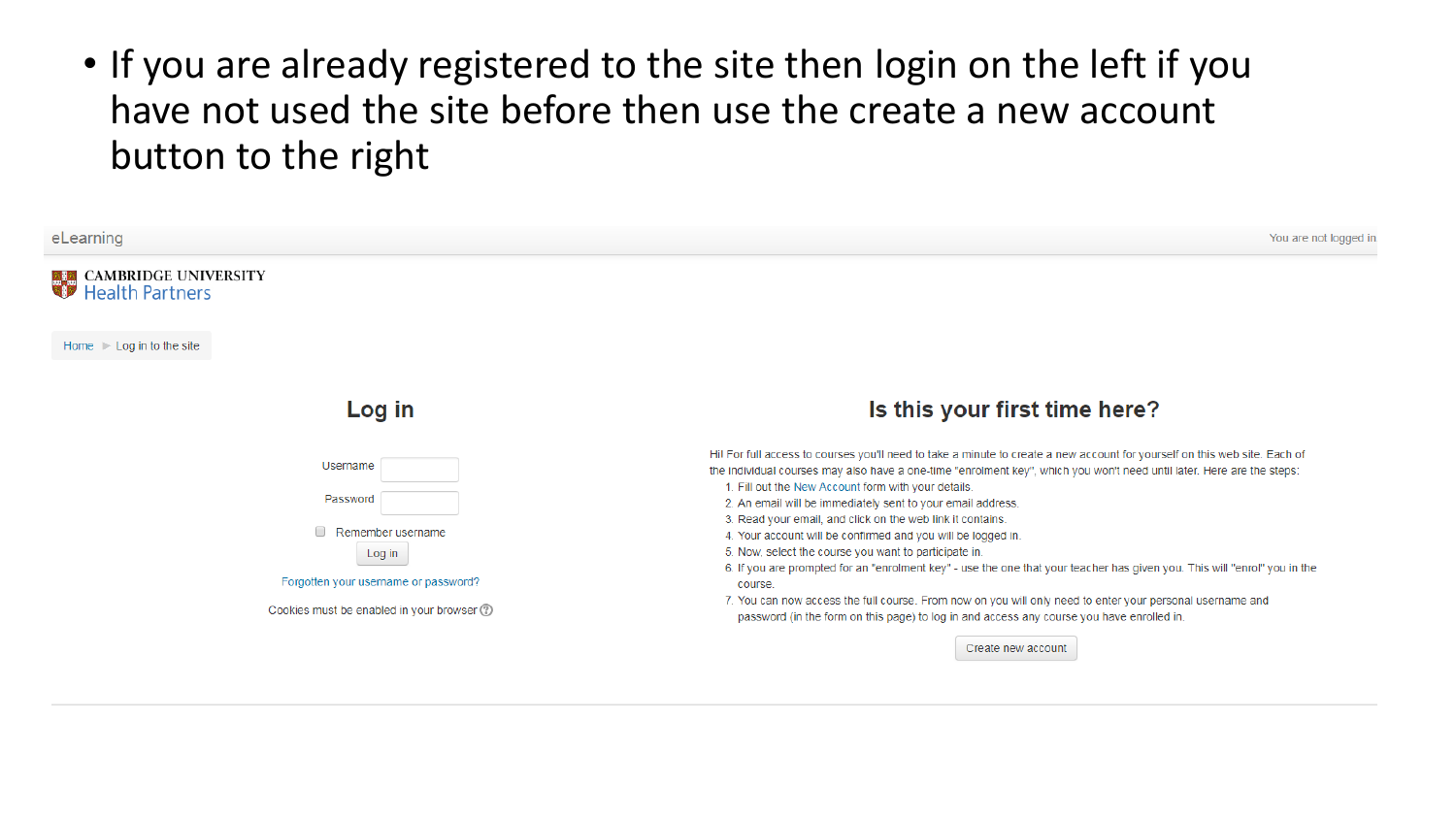• If you are already registered to the site then login on the left if you have not used the site before then use the create a new account button to the right

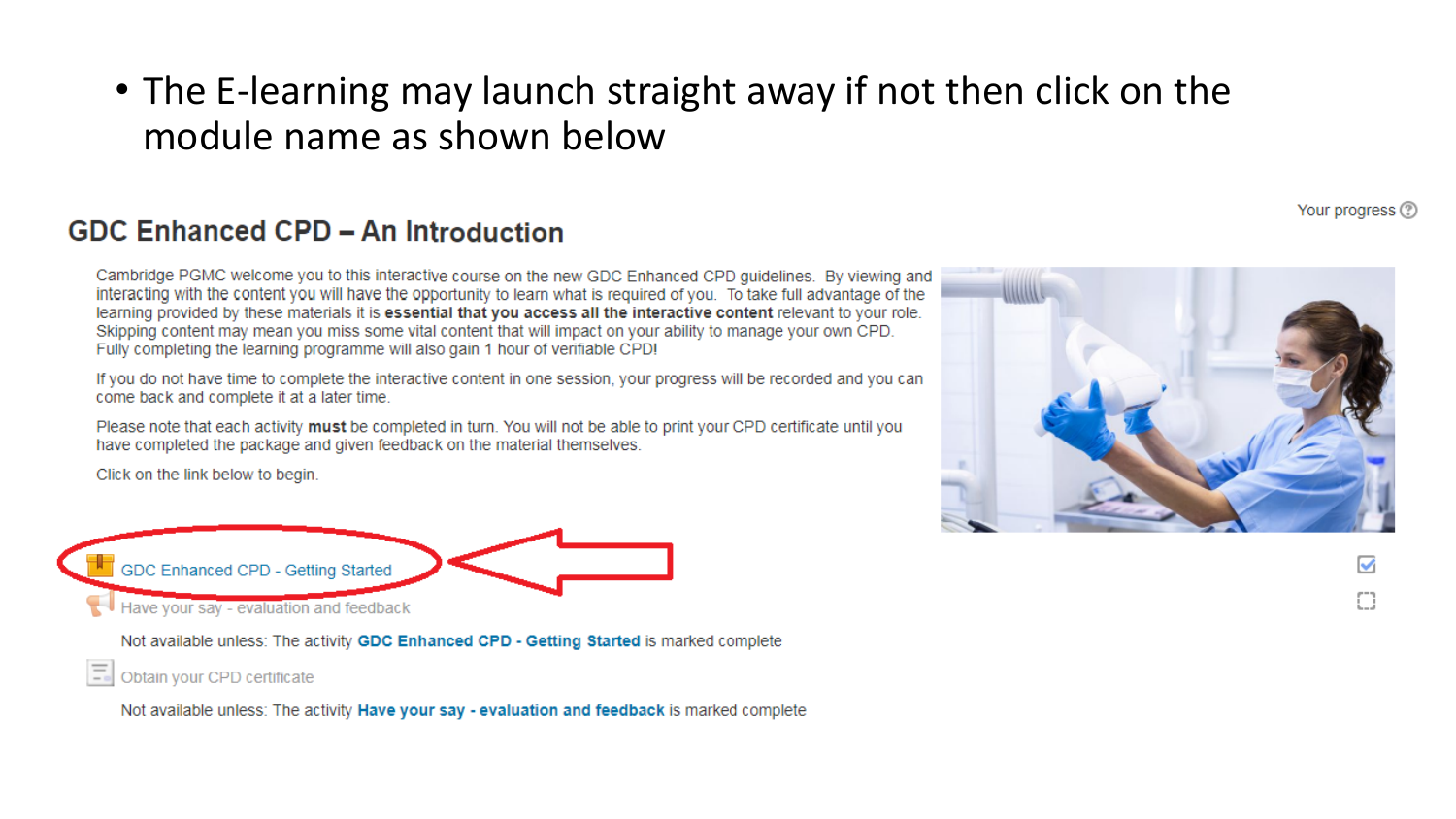• The E-learning may launch straight away if not then click on the module name as shown below

#### GDC Enhanced CPD - An Introduction

Cambridge PGMC welcome you to this interactive course on the new GDC Enhanced CPD quidelines. By viewing and interacting with the content you will have the opportunity to learn what is required of you. To take full advantage of the learning provided by these materials it is essential that you access all the interactive content relevant to your role. Skipping content may mean you miss some vital content that will impact on your ability to manage your own CPD. Fully completing the learning programme will also gain 1 hour of verifiable CPD!

If you do not have time to complete the interactive content in one session, your progress will be recorded and you can come back and complete it at a later time.

Please note that each activity must be completed in turn. You will not be able to print your CPD certificate until you have completed the package and given feedback on the material themselves.

Click on the link below to begin.



Not available unless: The activity GDC Enhanced CPD - Getting Started is marked complete

Obtain your CPD certificate

Not available unless: The activity Have your say - evaluation and feedback is marked complete

![](_page_4_Picture_10.jpeg)

Your progress (?)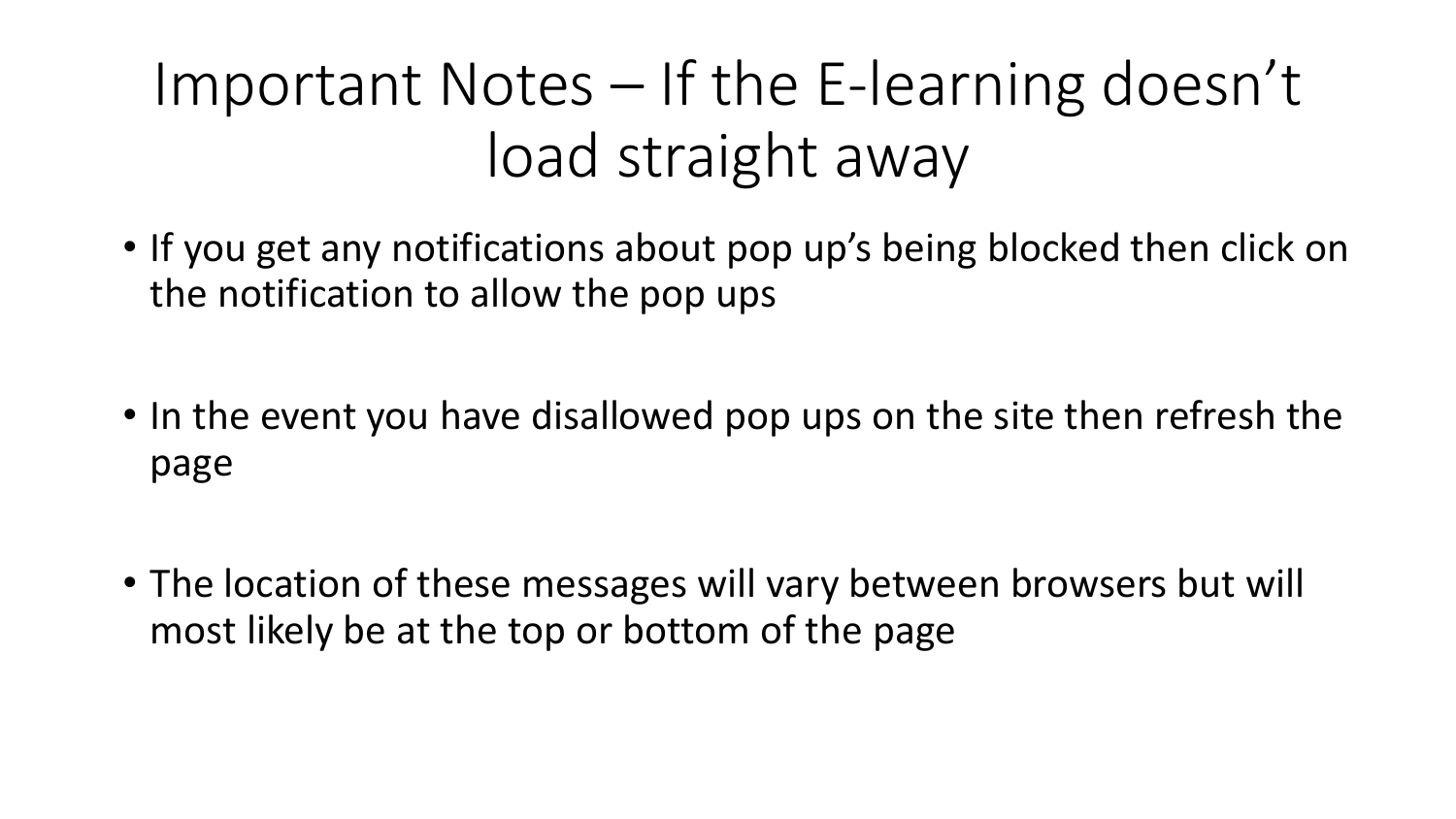# Important Notes – If the E-learning doesn't load straight away

- If you get any notifications about pop up's being blocked then click on the notification to allow the pop ups
- In the event you have disallowed pop ups on the site then refresh the page
- The location of these messages will vary between browsers but will most likely be at the top or bottom of the page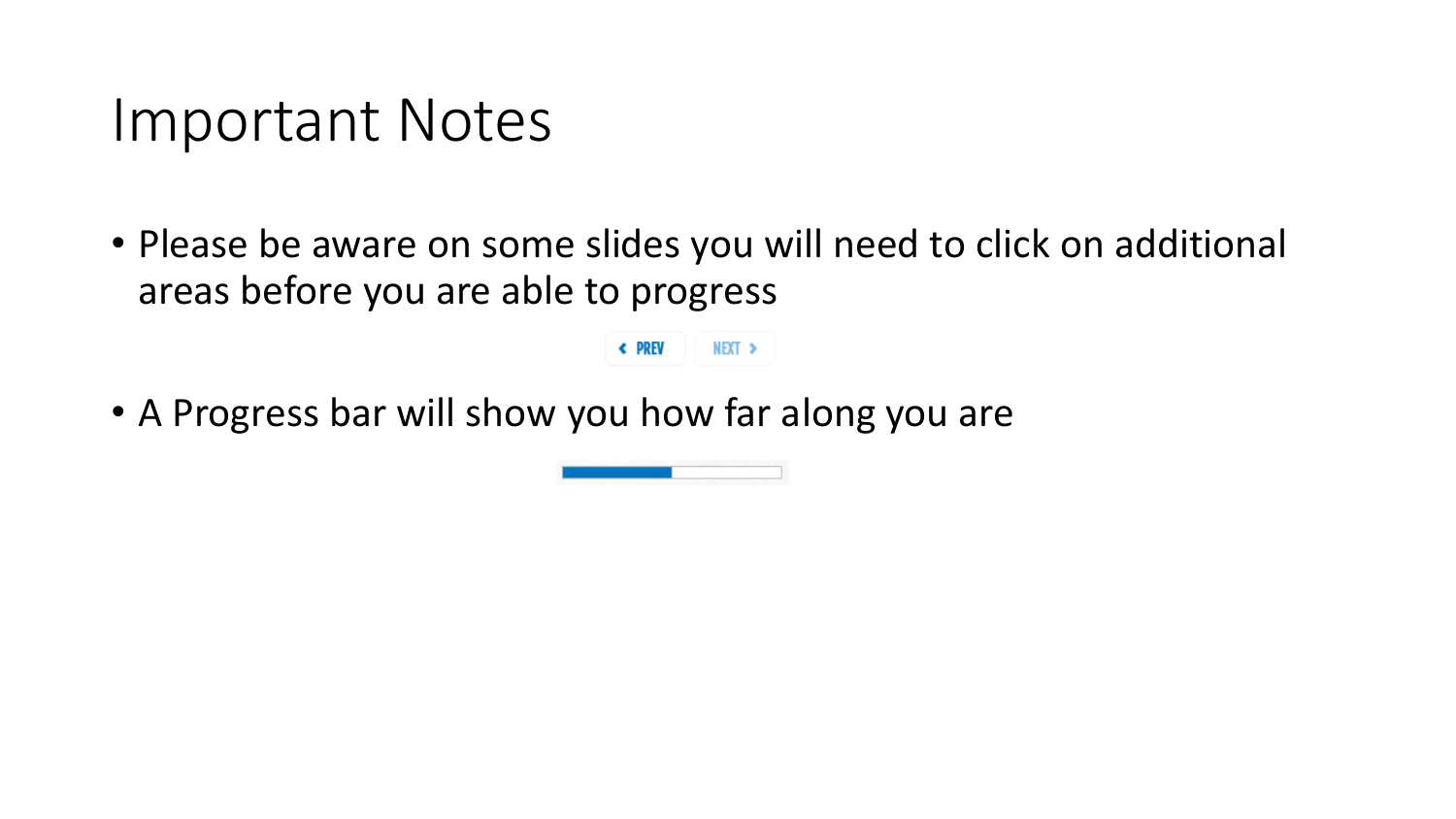### Important Notes

• Please be aware on some slides you will need to click on additional areas before you are able to progress

NEXT >

← PREV

• A Progress bar will show you how far along you are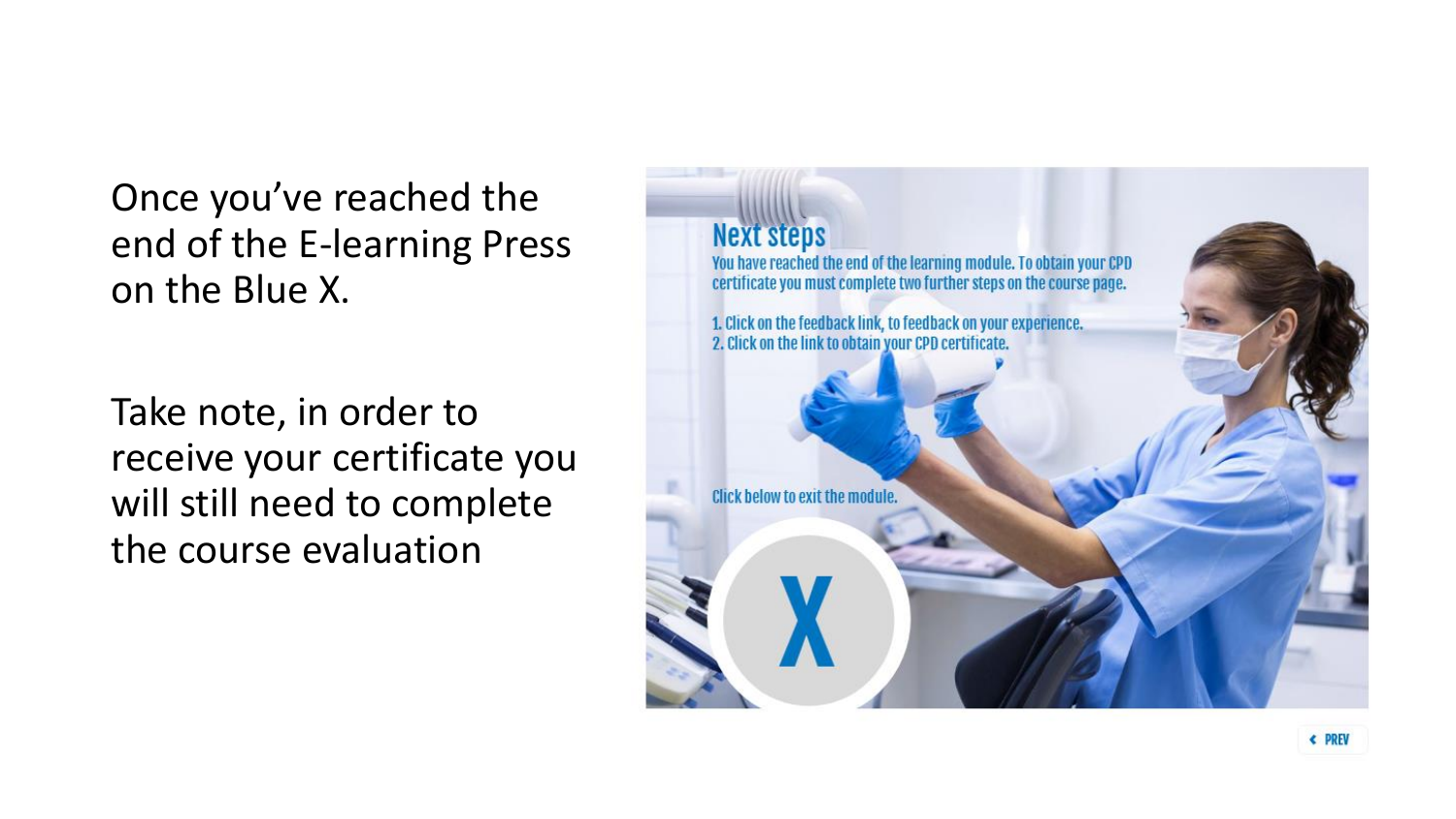Once you've reached the end of the E-learning Press on the Blue X.

Take note, in order to receive your certificate you will still need to complete the course evaluation

![](_page_7_Picture_2.jpeg)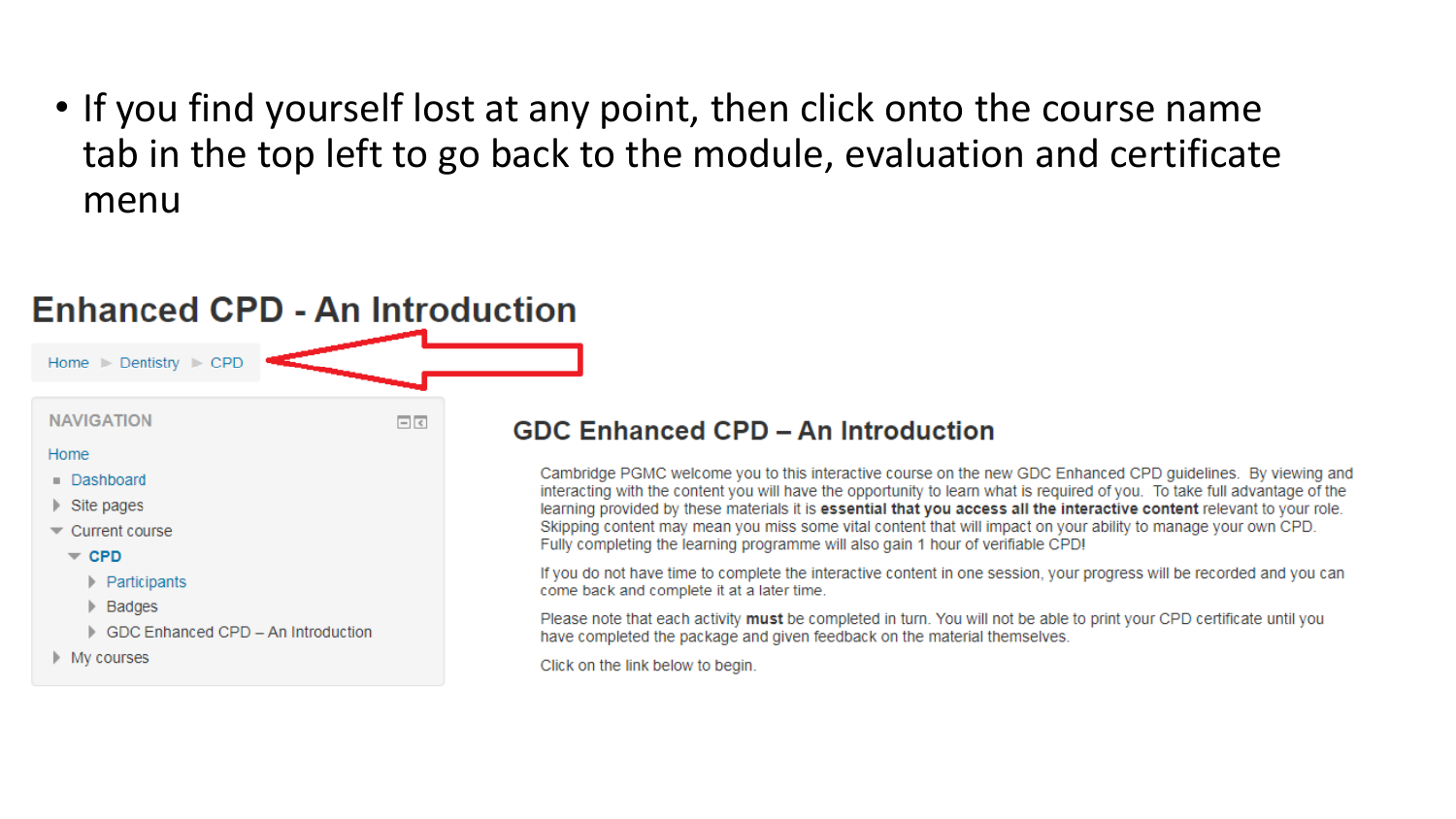• If you find yourself lost at any point, then click onto the course name tab in the top left to go back to the module, evaluation and certificate menu

#### **Enhanced CPD - An Introduction** Home Dentistry CPD **NAVIGATION**  $\Box$ Home Dashboard  $\triangleright$  Site pages  $\blacktriangleright$  Current course  $\sqrt{CPD}$  $\blacktriangleright$  Participants Badges Þ. GDC Enhanced CPD - An Introduction  $\blacktriangleright$  My courses

### **GDC Enhanced CPD - An Introduction**

Cambridge PGMC welcome you to this interactive course on the new GDC Enhanced CPD quidelines. By viewing and interacting with the content you will have the opportunity to learn what is required of you. To take full advantage of the learning provided by these materials it is essential that you access all the interactive content relevant to your role. Skipping content may mean you miss some vital content that will impact on your ability to manage your own CPD. Fully completing the learning programme will also gain 1 hour of verifiable CPD!

If you do not have time to complete the interactive content in one session, your progress will be recorded and you can come back and complete it at a later time.

Please note that each activity must be completed in turn. You will not be able to print your CPD certificate until you have completed the package and given feedback on the material themselves.

Click on the link below to begin.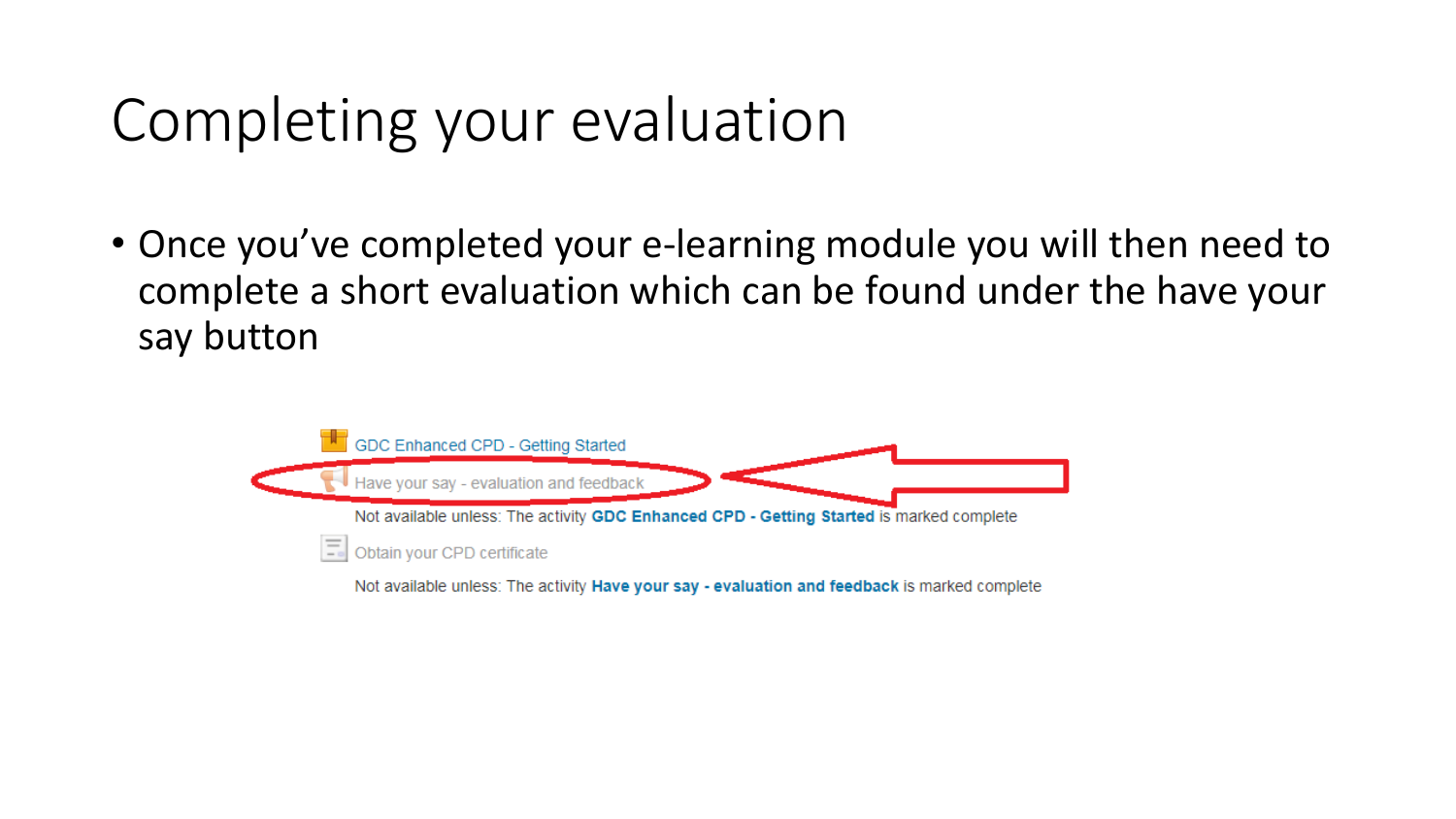## Completing your evaluation

• Once you've completed your e-learning module you will then need to complete a short evaluation which can be found under the have your say button

![](_page_9_Picture_2.jpeg)